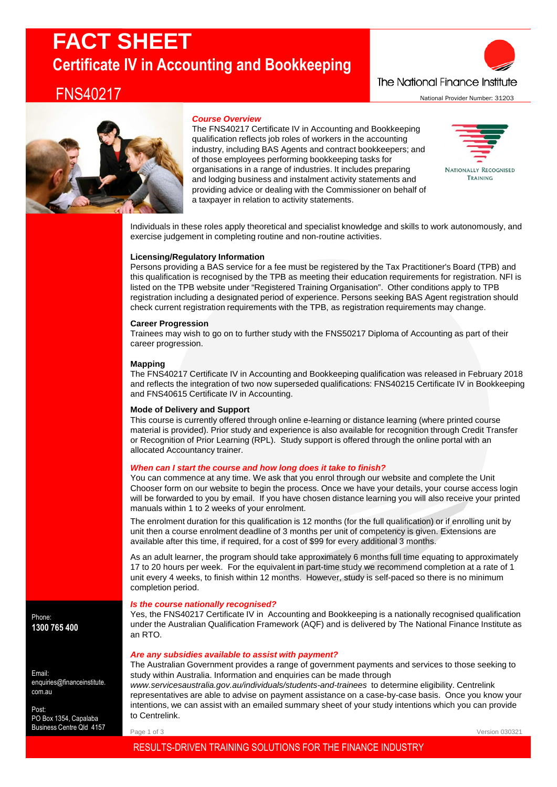# **FACT SHEET Certificate IV in Accounting and Bookkeeping**

# FNS40217





### *Course Overview*

The FNS40217 Certificate IV in Accounting and Bookkeeping qualification reflects job roles of workers in the accounting industry, including BAS Agents and contract bookkeepers; and of those employees performing bookkeeping tasks for organisations in a range of industries. It includes preparing and lodging business and instalment activity statements and providing advice or dealing with the Commissioner on behalf of a taxpayer in relation to activity statements.



Individuals in these roles apply theoretical and specialist knowledge and skills to work autonomously, and exercise judgement in completing routine and non-routine activities.

#### **Licensing/Regulatory Information**

Persons providing a BAS service for a fee must be registered by the Tax Practitioner's Board (TPB) and this qualification is recognised by the TPB as meeting their education requirements for registration. NFI is listed on the TPB website under "Registered Training Organisation". Other conditions apply to TPB registration including a designated period of experience. Persons seeking BAS Agent registration should check current registration requirements with the TPB, as registration requirements may change.

#### **Career Progression**

Trainees may wish to go on to further study with the FNS50217 Diploma of Accounting as part of their career progression.

# **Mapping**

The FNS40217 Certificate IV in Accounting and Bookkeeping qualification was released in February 2018 and reflects the integration of two now superseded qualifications: FNS40215 Certificate IV in Bookkeeping and FNS40615 Certificate IV in Accounting.

# **Mode of Delivery and Support**

This course is currently offered through online e-learning or distance learning (where printed course material is provided). Prior study and experience is also available for recognition through Credit Transfer or Recognition of Prior Learning (RPL). Study support is offered through the online portal with an allocated Accountancy trainer.

# *When can I start the course and how long does it take to finish?*

You can commence at any time. We ask that you enrol through our website and complete the Unit Chooser form on our website to begin the process. Once we have your details, your course access login will be forwarded to you by email. If you have chosen distance learning you will also receive your printed manuals within 1 to 2 weeks of your enrolment.

The enrolment duration for this qualification is 12 months (for the full qualification) or if enrolling unit by unit then a course enrolment deadline of 3 months per unit of competency is given. Extensions are available after this time, if required, for a cost of \$99 for every additional 3 months.

As an adult learner, the program should take approximately 6 months full time equating to approximately 17 to 20 hours per week. For the equivalent in part-time study we recommend completion at a rate of 1 unit every 4 weeks, to finish within 12 months. However, study is self-paced so there is no minimum completion period.

# *Is the course nationally recognised?*

Yes, the FNS40217 Certificate IV in Accounting and Bookkeeping is a nationally recognised qualification under the Australian Qualification Framework (AQF) and is delivered by The National Finance Institute as an RTO.

# *Are any subsidies available to assist with payment?*

The Australian Government provides a range of government payments and services to those seeking to study within Australia. Information and enquiries can be made through

*www.servicesaustralia.gov.au/individuals/students-and-trainees* to determine eligibility. Centrelink representatives are able to advise on payment assistance on a case-by-case basis. Once you know your intentions, we can assist with an emailed summary sheet of your study intentions which you can provide to Centrelink.

Page 1 of 3

# RESULTS-DRIVEN TRAINING SOLUTIONS FOR THE FINANCE INDUSTRY

Phone: **1300 765 400**

Email: enquiries@financeinstitute. com.au

Post: PO Box 1354, Capalaba Business Centre Qld 4157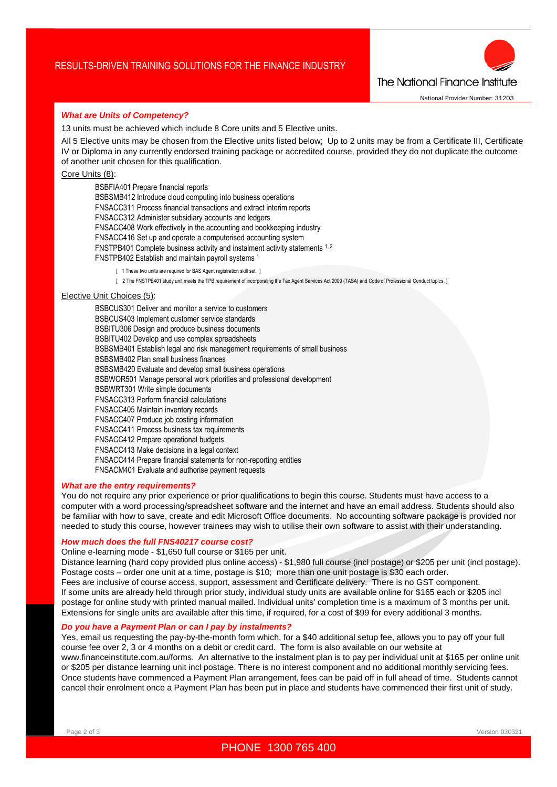

#### *What are Units of Competency?*

13 units must be achieved which include 8 Core units and 5 Elective units.

All 5 Elective units may be chosen from the Elective units listed below; Up to 2 units may be from a Certificate III, Certificate IV or Diploma in any currently endorsed training package or accredited course, provided they do not duplicate the outcome of another unit chosen for this qualification.

Core Units (8):

BSBFIA401 Prepare financial reports BSBSMB412 Introduce cloud computing into business operations FNSACC311 Process financial transactions and extract interim reports FNSACC312 Administer subsidiary accounts and ledgers FNSACC408 Work effectively in the accounting and bookkeeping industry FNSACC416 Set up and operate a computerised accounting system FNSTPB401 Complete business activity and instalment activity statements 1, 2 FNSTPB402 Establish and maintain payroll systems <sup>1</sup>

[ 1 These two units are required for BAS Agent registration skill set. ]

[ 2 The FNSTPB401 study unit meets the TPB requirement of incorporating the Tax Agent Services Act 2009 (TASA) and Code of Professional Conduct topics. ]

#### Elective Unit Choices (5):

BSBCUS301 Deliver and monitor a service to customers BSBCUS403 Implement customer service standards BSBITU306 Design and produce business documents BSBITU402 Develop and use complex spreadsheets BSBSMB401 Establish legal and risk management requirements of small business BSBSMB402 Plan small business finances BSBSMB420 Evaluate and develop small business operations BSBWOR501 Manage personal work priorities and professional development BSBWRT301 Write simple documents FNSACC313 Perform financial calculations FNSACC405 Maintain inventory records FNSACC407 Produce job costing information FNSACC411 Process business tax requirements FNSACC412 Prepare operational budgets FNSACC413 Make decisions in a legal context FNSACC414 Prepare financial statements for non-reporting entities FNSACM401 Evaluate and authorise payment requests

#### *What are the entry requirements?*

You do not require any prior experience or prior qualifications to begin this course. Students must have access to a computer with a word processing/spreadsheet software and the internet and have an email address. Students should also be familiar with how to save, create and edit Microsoft Office documents. No accounting software package is provided nor needed to study this course, however trainees may wish to utilise their own software to assist with their understanding.

#### *How much does the full FNS40217 course cost?*

Online e-learning mode - \$1,650 full course or \$165 per unit.

Distance learning (hard copy provided plus online access) - \$1,980 full course (incl postage) or \$205 per unit (incl postage). Postage costs – order one unit at a time, postage is \$10; more than one unit postage is \$30 each order. Fees are inclusive of course access, support, assessment and Certificate delivery. There is no GST component. If some units are already held through prior study, individual study units are available online for \$165 each or \$205 incl postage for online study with printed manual mailed. Individual units' completion time is a maximum of 3 months per unit. Extensions for single units are available after this time, if required, for a cost of \$99 for every additional 3 months.

#### *Do you have a Payment Plan or can I pay by instalments?*

Yes, email us requesting the pay-by-the-month form which, for a \$40 additional setup fee, allows you to pay off your full course fee over 2, 3 or 4 months on a debit or credit card. The form is also available on our website at www.financeinstitute.com.au/forms. An alternative to the instalment plan is to pay per individual unit at \$165 per online unit or \$205 per distance learning unit incl postage. There is no interest component and no additional monthly servicing fees. Once students have commenced a Payment Plan arrangement, fees can be paid off in full ahead of time. Students cannot cancel their enrolment once a Payment Plan has been put in place and students have commenced their first unit of study.